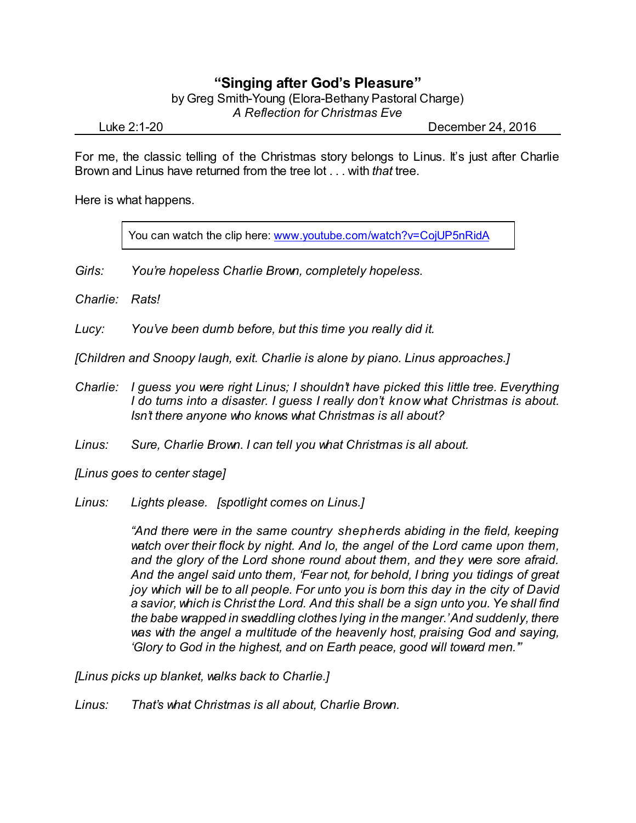## **"Singing after God's Pleasure"**

by Greg Smith-Young (Elora-Bethany Pastoral Charge)

*A Reflection for Christmas Eve*

Luke 2:1-20 December 24, 2016

For me, the classic telling of the Christmas story belongs to Linus. It's just after Charlie Brown and Linus have returned from the tree lot . . . with *that* tree.

Here is what happens.

You can watch the clip here: [www.youtube.com/watch?v=CojUP5nRidA](http://www.youtube.com/watch?v=CojUP5nRidA)

- *Girls: You're hopeless Charlie Brown, completely hopeless.*
- *Charlie: Rats!*

*Lucy: You've been dumb before, but this time you really did it.*

*[Children and Snoopy laugh, exit. Charlie is alone by piano. Linus approaches.]*

*Charlie: I guess you were right Linus; I shouldn't have picked this little tree. Everything I do turns into a disaster. I guess I really don't know what Christmas is about. Isn't there anyone who knows what Christmas is all about?*

*Linus: Sure, Charlie Brown. I can tell you what Christmas is all about.*

*[Linus goes to center stage]*

*Linus: Lights please. [spotlight comes on Linus.]*

*"And there were in the same country shepherds abiding in the field, keeping watch over their flock by night. And lo, the angel of the Lord came upon them, and the glory of the Lord shone round about them, and they were sore afraid. And the angel said unto them, 'Fear not, for behold, I bring you tidings of great joy which will be to all people. For unto you is born this day in the city of David a savior, which is Christ the Lord. And this shall be a sign unto you.Ye shall find the babe wrapped in swaddling clothes lying in the manger.'And suddenly, there was with the angel a multitude of the heavenly host, praising God and saying, 'Glory to God in the highest, and on Earth peace, good will toward men.'"*

*[Linus picks up blanket, walks back to Charlie.]*

*Linus: That's what Christmas is all about, Charlie Brown.*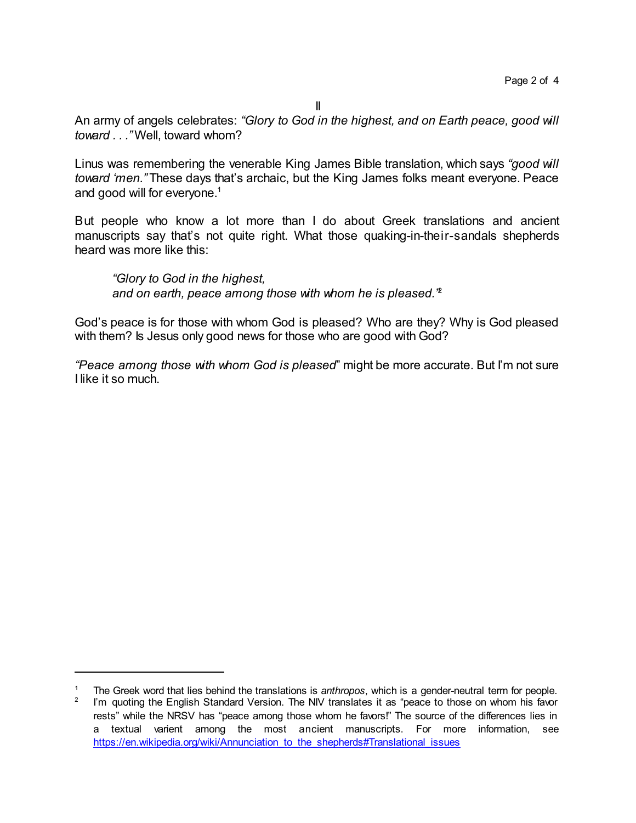II

An army of angels celebrates: *"Glory to God in the highest, and on Earth peace, good will toward . . ."* Well, toward whom?

Linus was remembering the venerable King James Bible translation, which says *"good will toward 'men."* These days that's archaic, but the King James folks meant everyone. Peace and good will for everyone.<sup>1</sup>

But people who know a lot more than I do about Greek translations and ancient manuscripts say that's not quite right. What those quaking-in-their-sandals shepherds heard was more like this:

*"Glory to God in the highest, and on earth, peace among those with whom he is pleased."* 2

God's peace is for those with whom God is pleased? Who are they? Why is God pleased with them? Is Jesus only good news for those who are good with God?

*"Peace among those with whom God is pleased*" might be more accurate. But I'm not sure I like it so much.

<sup>1</sup> The Greek word that lies behind the translations is *anthropos*, which is a gender-neutral term for people. 2 I'm quoting the English Standard Version. The NIV translates it as "peace to those on whom his favor rests" while the NRSV has "peace among those whom he favors!" The source of the differences lies in a textual varient among the most ancient manuscripts. For more information, see https://en.wikipedia.org/wiki/Annunciation to the shepherds#Translational issues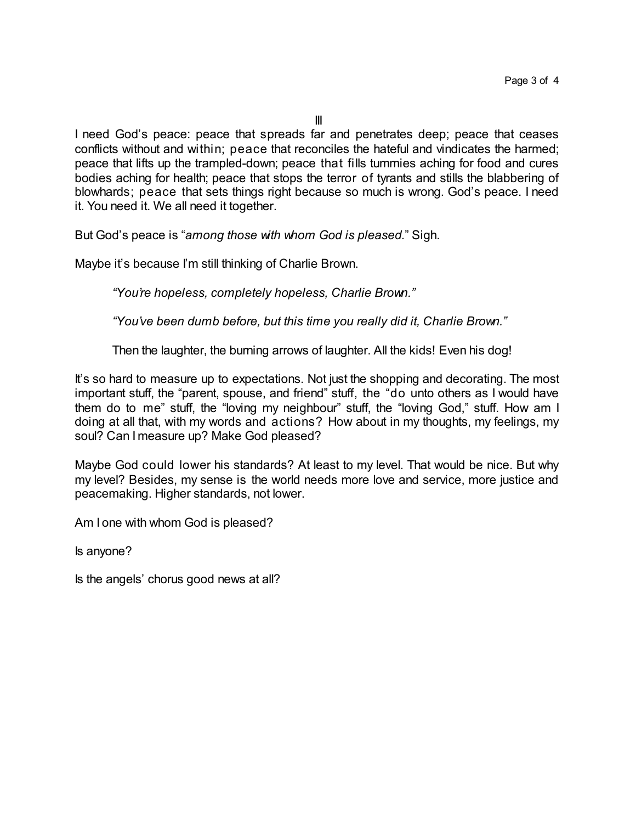I need God's peace: peace that spreads far and penetrates deep; peace that ceases conflicts without and within; peace that reconciles the hateful and vindicates the harmed; peace that lifts up the trampled-down; peace that fills tummies aching for food and cures bodies aching for health; peace that stops the terror of tyrants and stills the blabbering of blowhards; peace that sets things right because so much is wrong. God's peace. I need it. You need it. We all need it together.

But God's peace is "*among those with whom God is pleased.*" Sigh.

Maybe it's because I'm still thinking of Charlie Brown.

*"You're hopeless, completely hopeless, Charlie Brown."*

*"You've been dumb before, but this time you really did it, Charlie Brown."*

Then the laughter, the burning arrows of laughter. All the kids! Even his dog!

It's so hard to measure up to expectations. Not just the shopping and decorating. The most important stuff, the "parent, spouse, and friend" stuff, the "do unto others as I would have them do to me" stuff, the "loving my neighbour" stuff, the "loving God," stuff. How am I doing at all that, with my words and actions? How about in my thoughts, my feelings, my soul? Can I measure up? Make God pleased?

Maybe God could lower his standards? At least to my level. That would be nice. But why my level? Besides, my sense is the world needs more love and service, more justice and peacemaking. Higher standards, not lower.

Am I one with whom God is pleased?

Is anyone?

Is the angels' chorus good news at all?